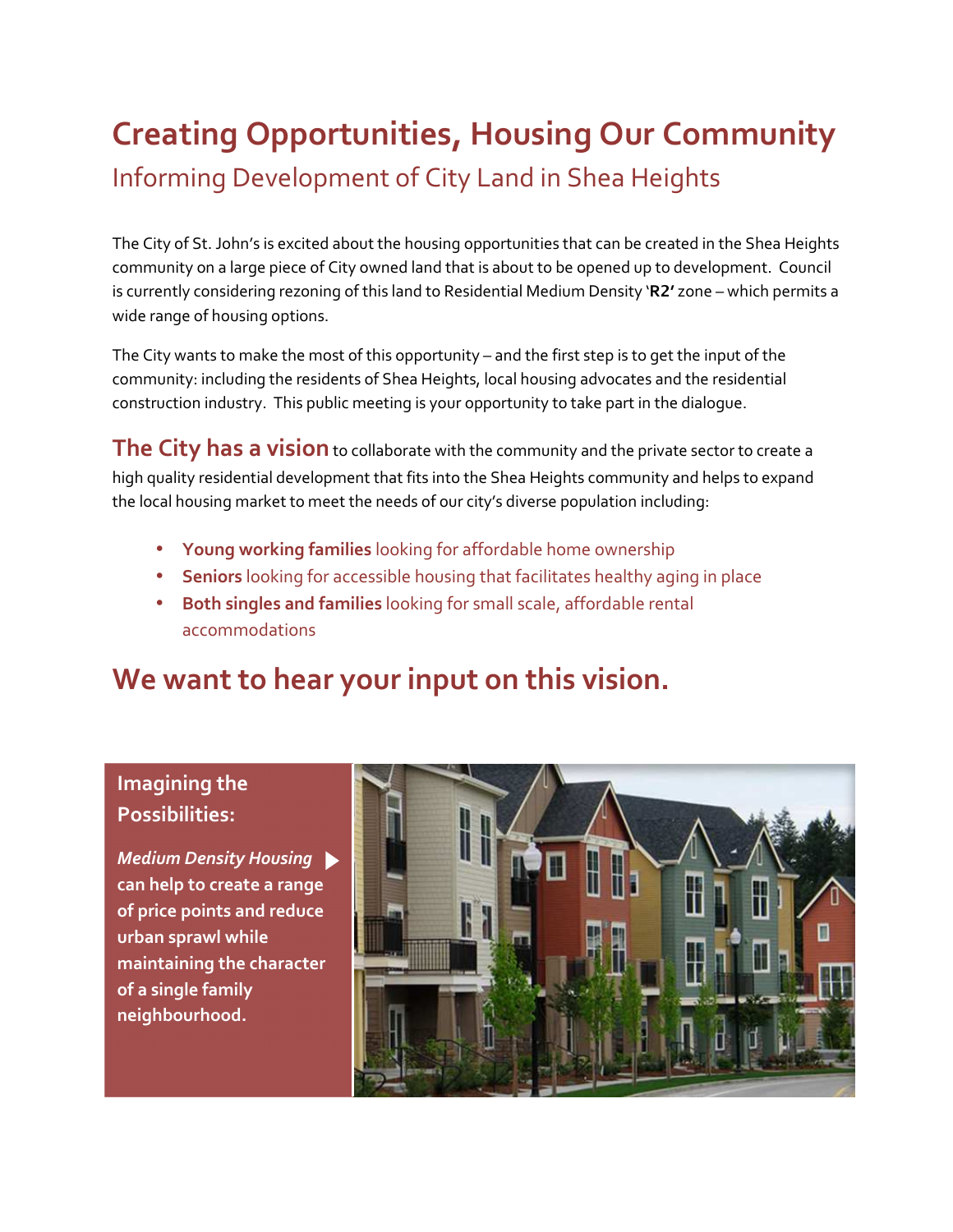# **Creating Opportunities, Housing Our Community**  Informing Development of City Land in Shea Heights

The City of St. John's is excited about the housing opportunities that can be created in the Shea Heights community on a large piece of City owned land that is about to be opened up to development. Council is currently considering rezoning of this land to Residential Medium Density '**R2'** zone – which permits a wide range of housing options.

The City wants to make the most of this opportunity – and the first step is to get the input of the community: including the residents of Shea Heights, local housing advocates and the residential construction industry. This public meeting is your opportunity to take part in the dialogue.

**The City has a vision** to collaborate with the community and the private sector to create a high quality residential development that fits into the Shea Heights community and helps to expand the local housing market to meet the needs of our city's diverse population including:

- **Young working families** looking for affordable home ownership
- **Seniors** looking for accessible housing that facilitates healthy aging in place
- **Both singles and families** looking for small scale, affordable rental accommodations

## **We want to hear your input on this vision.**

#### **Imagining the Possibilities:**

*Medium Density Housing*  **can help to create a range of price points and reduce urban sprawl while maintaining the character of a single family neighbourhood.**